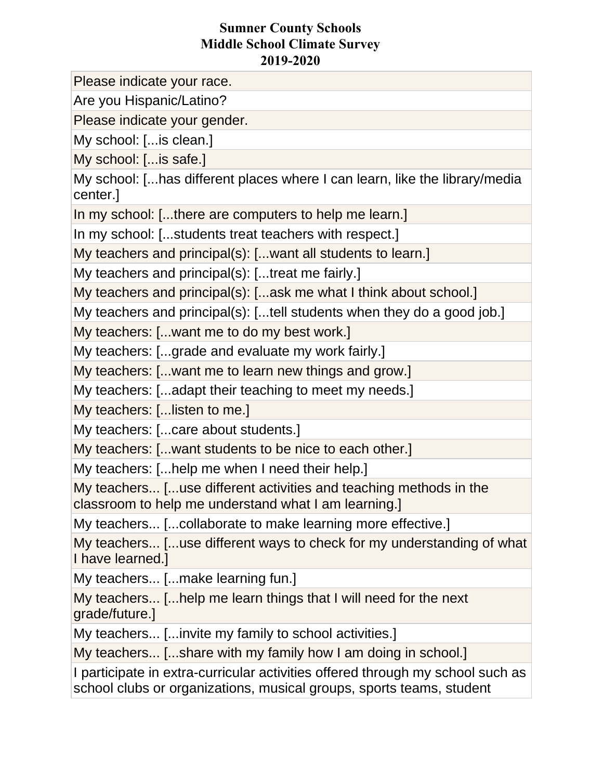Please indicate your race.

Are you Hispanic/Latino?

Please indicate your gender.

My school: [...is clean.]

My school: [...is safe.]

My school: [...has different places where I can learn, like the library/media center.]

In my school: [...there are computers to help me learn.]

In my school: [...students treat teachers with respect.]

My teachers and principal(s): [...want all students to learn.]

My teachers and principal(s): [...treat me fairly.]

My teachers and principal(s): [...ask me what I think about school.]

My teachers and principal(s): [...tell students when they do a good job.]

My teachers: [...want me to do my best work.]

My teachers: [...grade and evaluate my work fairly.]

My teachers: [...want me to learn new things and grow.]

My teachers: [...adapt their teaching to meet my needs.]

My teachers: [...listen to me.]

My teachers: [...care about students.]

My teachers: [...want students to be nice to each other.]

My teachers: [...help me when I need their help.]

My teachers... [...use different activities and teaching methods in the classroom to help me understand what I am learning.]

My teachers... [...collaborate to make learning more effective.]

My teachers... [...use different ways to check for my understanding of what I have learned.]

My teachers... [...make learning fun.]

My teachers... [...help me learn things that I will need for the next grade/future.]

My teachers... [...invite my family to school activities.]

My teachers... [...share with my family how I am doing in school.]

I participate in extra-curricular activities offered through my school such as school clubs or organizations, musical groups, sports teams, student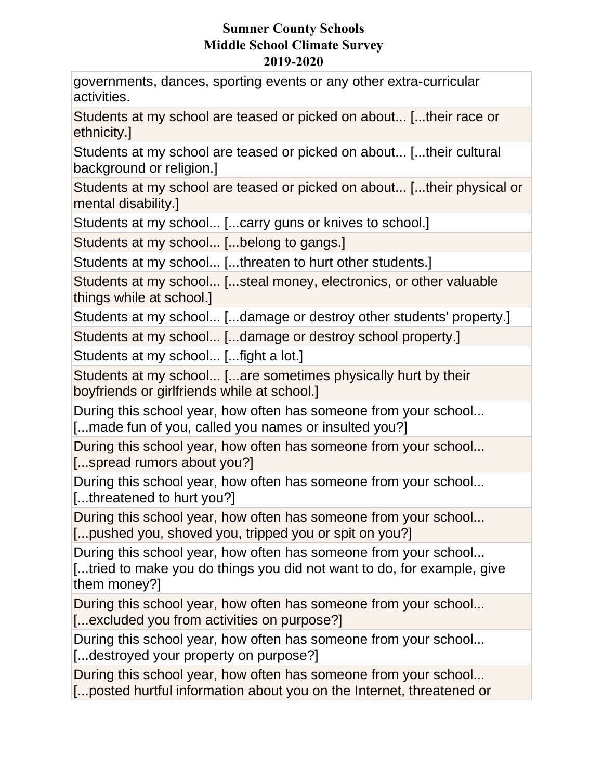governments, dances, sporting events or any other extra-curricular activities.

Students at my school are teased or picked on about... [...their race or ethnicity.]

Students at my school are teased or picked on about... [...their cultural background or religion.]

Students at my school are teased or picked on about... [...their physical or mental disability.]

Students at my school... [...carry guns or knives to school.]

Students at my school... [...belong to gangs.]

Students at my school... [...threaten to hurt other students.]

Students at my school... [...steal money, electronics, or other valuable things while at school.]

Students at my school... [...damage or destroy other students' property.]

Students at my school... [...damage or destroy school property.]

Students at my school... [...fight a lot.]

Students at my school... [...are sometimes physically hurt by their boyfriends or girlfriends while at school.]

During this school year, how often has someone from your school... [...made fun of you, called you names or insulted you?]

During this school year, how often has someone from your school... [...spread rumors about you?]

During this school year, how often has someone from your school... [...threatened to hurt you?]

During this school year, how often has someone from your school... [...pushed you, shoved you, tripped you or spit on you?]

During this school year, how often has someone from your school... [...tried to make you do things you did not want to do, for example, give them money?]

During this school year, how often has someone from your school... [...excluded you from activities on purpose?]

During this school year, how often has someone from your school... [...destroyed your property on purpose?]

During this school year, how often has someone from your school...

[...posted hurtful information about you on the Internet, threatened or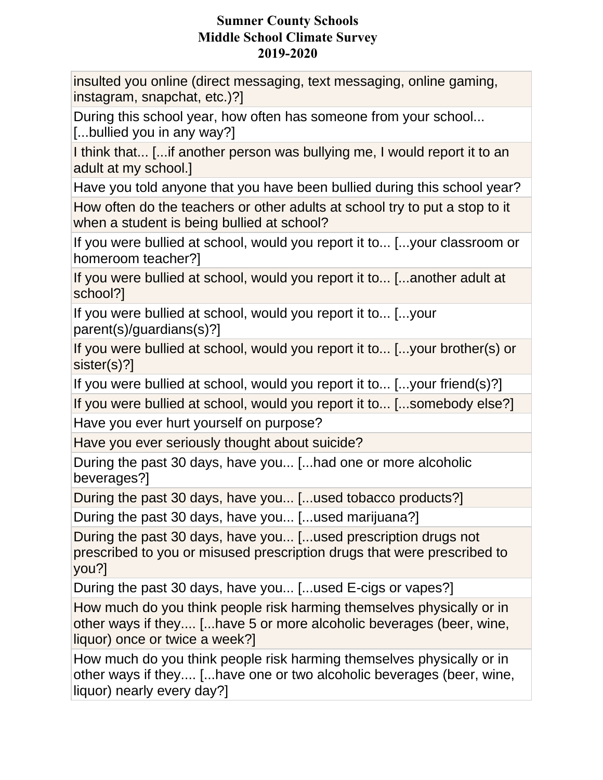insulted you online (direct messaging, text messaging, online gaming, instagram, snapchat, etc.)?]

During this school year, how often has someone from your school... [...bullied you in any way?]

I think that... [...if another person was bullying me, I would report it to an adult at my school.]

Have you told anyone that you have been bullied during this school year?

How often do the teachers or other adults at school try to put a stop to it when a student is being bullied at school?

If you were bullied at school, would you report it to... [...your classroom or homeroom teacher?]

If you were bullied at school, would you report it to... [...another adult at school?]

If you were bullied at school, would you report it to... [...your parent(s)/guardians(s)?]

If you were bullied at school, would you report it to... [...your brother(s) or sister(s)?]

If you were bullied at school, would you report it to... [...your friend(s)?]

If you were bullied at school, would you report it to... [...somebody else?] Have you ever hurt yourself on purpose?

Have you ever seriously thought about suicide?

During the past 30 days, have you... [...had one or more alcoholic beverages?]

During the past 30 days, have you... [...used tobacco products?]

During the past 30 days, have you... [...used marijuana?]

During the past 30 days, have you... [...used prescription drugs not prescribed to you or misused prescription drugs that were prescribed to you?]

During the past 30 days, have you... [...used E-cigs or vapes?]

How much do you think people risk harming themselves physically or in other ways if they.... [...have 5 or more alcoholic beverages (beer, wine, liquor) once or twice a week?]

How much do you think people risk harming themselves physically or in other ways if they.... [...have one or two alcoholic beverages (beer, wine, liquor) nearly every day?]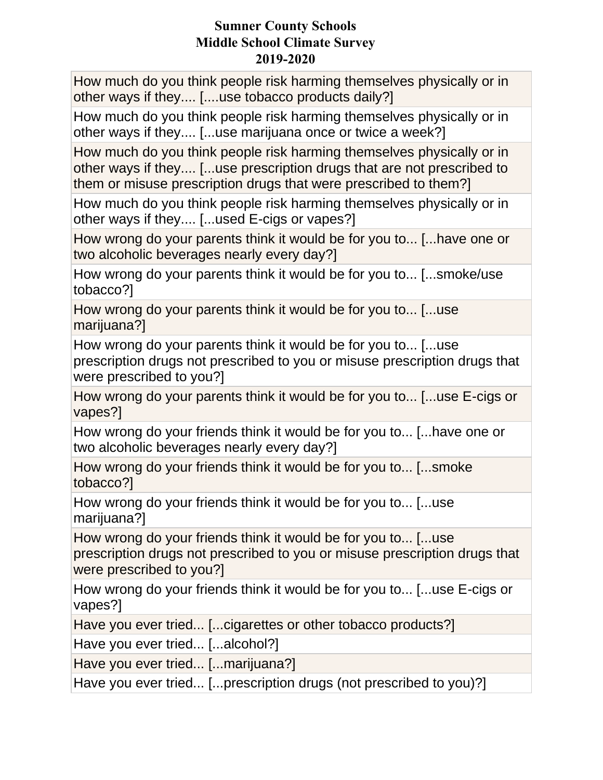How much do you think people risk harming themselves physically or in other ways if they.... [....use tobacco products daily?]

How much do you think people risk harming themselves physically or in other ways if they.... [...use marijuana once or twice a week?]

How much do you think people risk harming themselves physically or in other ways if they.... [...use prescription drugs that are not prescribed to them or misuse prescription drugs that were prescribed to them?]

How much do you think people risk harming themselves physically or in other ways if they.... [...used E-cigs or vapes?]

How wrong do your parents think it would be for you to... [...have one or two alcoholic beverages nearly every day?]

How wrong do your parents think it would be for you to... [...smoke/use tobacco?]

How wrong do your parents think it would be for you to... [...use marijuana?]

How wrong do your parents think it would be for you to... [...use prescription drugs not prescribed to you or misuse prescription drugs that were prescribed to you?]

How wrong do your parents think it would be for you to... [...use E-cigs or vapes?]

How wrong do your friends think it would be for you to... [...have one or two alcoholic beverages nearly every day?]

How wrong do your friends think it would be for you to... [...smoke tobacco?]

How wrong do your friends think it would be for you to... [...use marijuana?]

How wrong do your friends think it would be for you to... [...use prescription drugs not prescribed to you or misuse prescription drugs that were prescribed to you?]

How wrong do your friends think it would be for you to... [...use E-cigs or vapes?]

Have you ever tried... [...cigarettes or other tobacco products?]

Have you ever tried... [...alcohol?]

Have you ever tried... [...marijuana?]

Have you ever tried... [...prescription drugs (not prescribed to you)?]